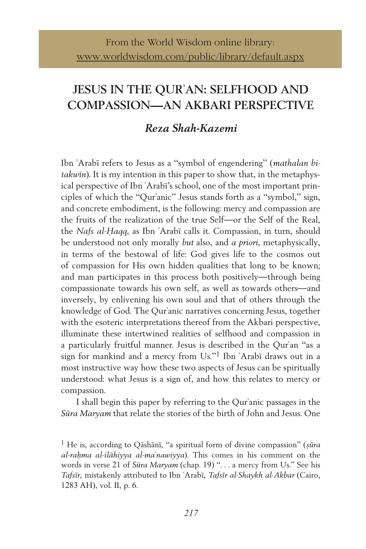# **JESUS IN THE QURʾAN: SELFHOOD AND COMPASSION—AN AKBARI PERSPECTIVE**

## *Reza Shah-Kazemi*

Ibn ʿArabī refers to Jesus as a "symbol of engendering" (*mathalan bitakwīn*). It is my intention in this paper to show that, in the metaphysical perspective of Ibn ʿArabī's school, one of the most important principles of which the "Qurʾanic" Jesus stands forth as a "symbol," sign, and concrete embodiment, is the following: mercy and compassion are the fruits of the realization of the true Self—or the Self of the Real, the *Nafs al-Ḥaqq*, as Ibn ʿArabī calls it. Compassion, in turn, should be understood not only morally *but* also, and *a priori*, metaphysically, in terms of the bestowal of life: God gives life to the cosmos out of compassion for His own hidden qualities that long to be known; and man participates in this process both positively—through being compassionate towards his own self, as well as towards others—and inversely, by enlivening his own soul and that of others through the knowledge of God. The Qurʾanic narratives concerning Jesus, together with the esoteric interpretations thereof from the Akbari perspective, illuminate these intertwined realities of selfhood and compassion in a particularly fruitful manner. Jesus is described in the Qurʾan "as a sign for mankind and a mercy from Us."<sup>1</sup> Ibn 'Arabī draws out in a most instructive way how these two aspects of Jesus can be spiritually understood: what Jesus is a sign of, and how this relates to mercy or compassion.

I shall begin this paper by referring to the Qurʾanic passages in the *Sūra Maryam* that relate the stories of the birth of John and Jesus. One

<sup>1</sup> He is, according to Qāshānī, "a spiritual form of divine compassion" (*ṣūra al-raḥma al-ilāhiyya al-maʿnawiyya*). This comes in his comment on the words in verse 21 of *Sūra Maryam* (chap. 19) ". . . a mercy from Us." See his *Tafsīr*, mistakenly attributed to Ibn ʿArabī, *Tafsīr al-Shaykh al-Akbar* (Cairo, 1283 AH), vol. II, p. 6.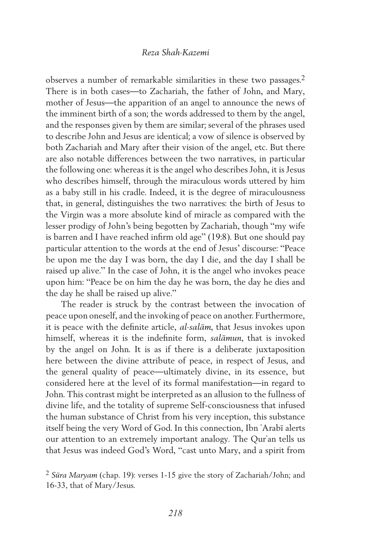observes a number of remarkable similarities in these two passages.2 There is in both cases—to Zachariah, the father of John, and Mary, mother of Jesus—the apparition of an angel to announce the news of the imminent birth of a son; the words addressed to them by the angel, and the responses given by them are similar; several of the phrases used to describe John and Jesus are identical; a vow of silence is observed by both Zachariah and Mary after their vision of the angel, etc. But there are also notable differences between the two narratives, in particular the following one: whereas it is the angel who describes John, it is Jesus who describes himself, through the miraculous words uttered by him as a baby still in his cradle. Indeed, it is the degree of miraculousness that, in general, distinguishes the two narratives: the birth of Jesus to the Virgin was a more absolute kind of miracle as compared with the lesser prodigy of John's being begotten by Zachariah, though "my wife is barren and I have reached infirm old age" (19:8). But one should pay particular attention to the words at the end of Jesus' discourse: "Peace be upon me the day I was born, the day I die, and the day I shall be raised up alive." In the case of John, it is the angel who invokes peace upon him: "Peace be on him the day he was born, the day he dies and the day he shall be raised up alive."

The reader is struck by the contrast between the invocation of peace upon oneself, and the invoking of peace on another. Furthermore, it is peace with the definite article, *al-salām*, that Jesus invokes upon himself, whereas it is the indefinite form, *salāmun*, that is invoked by the angel on John. It is as if there is a deliberate juxtaposition here between the divine attribute of peace, in respect of Jesus, and the general quality of peace—ultimately divine, in its essence, but considered here at the level of its formal manifestation—in regard to John. This contrast might be interpreted as an allusion to the fullness of divine life, and the totality of supreme Self-consciousness that infused the human substance of Christ from his very inception, this substance itself being the very Word of God. In this connection, Ibn ʿArabī alerts our attention to an extremely important analogy. The Qurʾan tells us that Jesus was indeed God's Word, "cast unto Mary, and a spirit from

<sup>2</sup>*Sūra Maryam* (chap. 19): verses 1-15 give the story of Zachariah/John; and 16-33, that of Mary/Jesus.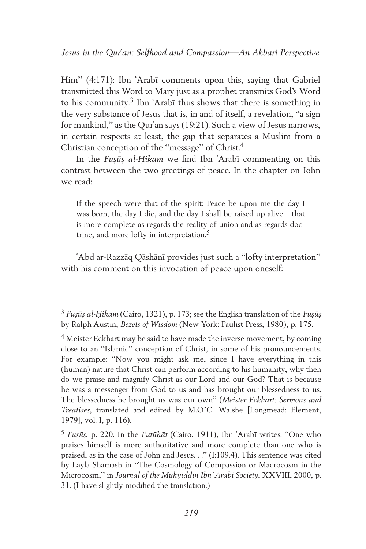Him" (4:171): Ibn ʿArabī comments upon this, saying that Gabriel transmitted this Word to Mary just as a prophet transmits God's Word to his community.3 Ibn ʿArabī thus shows that there is something in the very substance of Jesus that is, in and of itself, a revelation, "a sign for mankind," as the Qurʾan says (19:21). Such a view of Jesus narrows, in certain respects at least, the gap that separates a Muslim from a Christian conception of the "message" of Christ.4

In the *Fusūs* al-*Hikam* we find Ibn `Arabī commenting on this contrast between the two greetings of peace. In the chapter on John we read:

If the speech were that of the spirit: Peace be upon me the day I was born, the day I die, and the day I shall be raised up alive—that is more complete as regards the reality of union and as regards doctrine, and more lofty in interpretation.<sup>5</sup>

ʿAbd ar-Razzāq Qāshānī provides just such a "lofty interpretation" with his comment on this invocation of peace upon oneself:

<sup>3</sup>*Fuṣūṣ al-Ḥikam* (Cairo, 1321), p. 173; see the English translation of the *Fuṣūṣ* by Ralph Austin, *Bezels of Wisdom* (New York: Paulist Press, 1980), p. 175.

<sup>4</sup> Meister Eckhart may be said to have made the inverse movement, by coming close to an "Islamic" conception of Christ, in some of his pronouncements. For example: "Now you might ask me, since I have everything in this (human) nature that Christ can perform according to his humanity, why then do we praise and magnify Christ as our Lord and our God? That is because he was a messenger from God to us and has brought our blessedness to us. The blessedness he brought us was our own" (*Meister Eckhart: Sermons and Treatises*, translated and edited by M.O'C. Walshe [Longmead: Element, 1979], vol. I, p. 116).

<sup>5</sup>*Fuṣūṣ*, p. 220. In the *Futūḥāt* (Cairo, 1911), Ibn ʿArabī writes: "One who praises himself is more authoritative and more complete than one who is praised, as in the case of John and Jesus. . ." (I:109.4). This sentence was cited by Layla Shamash in "The Cosmology of Compassion or Macrocosm in the Microcosm," in *Journal of the Muhyiddin Ibn ʿArabi Society*, XXVIII, 2000, p. 31. (I have slightly modified the translation.)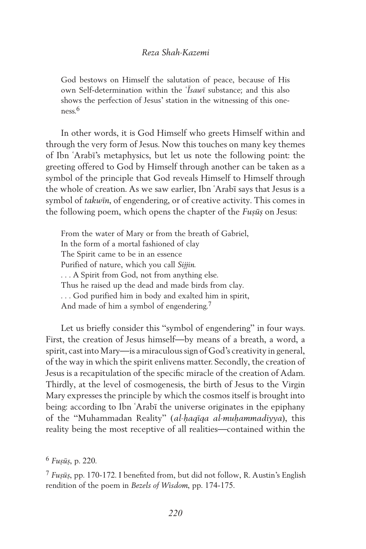God bestows on Himself the salutation of peace, because of His own Self-determination within the *ʿĪsawī* substance; and this also shows the perfection of Jesus' station in the witnessing of this oneness.6

In other words, it is God Himself who greets Himself within and through the very form of Jesus. Now this touches on many key themes of Ibn ʿArabī's metaphysics, but let us note the following point: the greeting offered to God by Himself through another can be taken as a symbol of the principle that God reveals Himself to Himself through the whole of creation. As we saw earlier, Ibn ʿArabī says that Jesus is a symbol of *takwīn*, of engendering, or of creative activity. This comes in the following poem, which opens the chapter of the *Fuṣūṣ* on Jesus:

From the water of Mary or from the breath of Gabriel, In the form of a mortal fashioned of clay The Spirit came to be in an essence Purified of nature, which you call *Sijjin*. . . . A Spirit from God, not from anything else. Thus he raised up the dead and made birds from clay. . . . God purified him in body and exalted him in spirit, And made of him a symbol of engendering.<sup>7</sup>

Let us briefly consider this "symbol of engendering" in four ways. First, the creation of Jesus himself—by means of a breath, a word, a spirit, cast into Mary—is a miraculous sign of God's creativity in general, of the way in which the spirit enlivens matter. Secondly, the creation of Jesus is a recapitulation of the specific miracle of the creation of Adam. Thirdly, at the level of cosmogenesis, the birth of Jesus to the Virgin Mary expresses the principle by which the cosmos itself is brought into being: according to Ibn ʿArabī the universe originates in the epiphany of the "Muhammadan Reality" (*al-ḥaqīqa al-muḥammadiyya*), this reality being the most receptive of all realities—contained within the

<sup>6</sup>*Fuṣūṣ*, p. 220.

<sup>7</sup>*Fuṣūṣ*, pp. 170-172. I benefited from, but did not follow, R. Austin's English rendition of the poem in *Bezels of Wisdom*, pp. 174-175.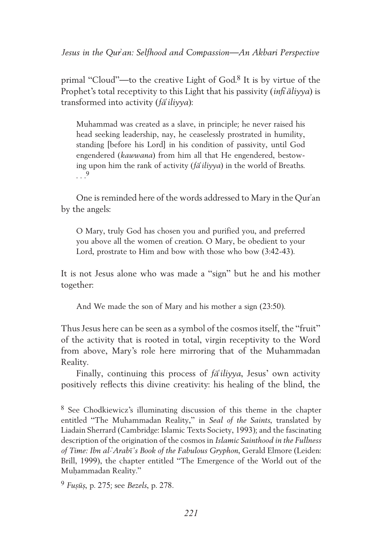primal "Cloud"—to the creative Light of God.8 It is by virtue of the Prophet's total receptivity to this Light that his passivity (*infiʿāliyya*) is transformed into activity (*fāʿiliyya*):

Muhammad was created as a slave, in principle; he never raised his head seeking leadership, nay, he ceaselessly prostrated in humility, standing [before his Lord] in his condition of passivity, until God engendered (*kawwana*) from him all that He engendered, bestowing upon him the rank of activity (*fāʿiliyya*) in the world of Breaths. . . .9

One is reminded here of the words addressed to Mary in the Qurʾan by the angels:

O Mary, truly God has chosen you and purified you, and preferred you above all the women of creation. O Mary, be obedient to your Lord, prostrate to Him and bow with those who bow (3:42-43).

It is not Jesus alone who was made a "sign" but he and his mother together:

And We made the son of Mary and his mother a sign (23:50).

Thus Jesus here can be seen as a symbol of the cosmos itself, the "fruit" of the activity that is rooted in total, virgin receptivity to the Word from above, Mary's role here mirroring that of the Muhammadan Reality.

Finally, continuing this process of *fāʿiliyya*, Jesus' own activity positively reflects this divine creativity: his healing of the blind, the

8 See Chodkiewicz's illuminating discussion of this theme in the chapter entitled "The Muhammadan Reality," in *Seal of the Saints*, translated by Liadain Sherrard (Cambridge: Islamic Texts Society, 1993); and the fascinating description of the origination of the cosmos in *Islamic Sainthood in the Fullness of Time: Ibn al-ʿArabī's Book of the Fabulous Gryphon*, Gerald Elmore (Leiden: Brill, 1999), the chapter entitled "The Emergence of the World out of the Muhammadan Reality."

<sup>9</sup>*Fuṣūṣ*, p. 275; see *Bezels*, p. 278.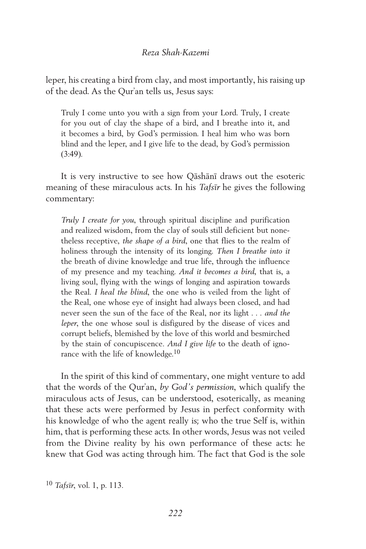leper, his creating a bird from clay, and most importantly, his raising up of the dead. As the Qurʾan tells us, Jesus says:

Truly I come unto you with a sign from your Lord. Truly, I create for you out of clay the shape of a bird, and I breathe into it, and it becomes a bird, by God's permission. I heal him who was born blind and the leper, and I give life to the dead, by God's permission (3:49).

It is very instructive to see how Qāshānī draws out the esoteric meaning of these miraculous acts. In his *Tafsīr* he gives the following commentary:

*Truly I create for you*, through spiritual discipline and purification and realized wisdom, from the clay of souls still deficient but nonetheless receptive, *the shape of a bird*, one that flies to the realm of holiness through the intensity of its longing. *Then I breathe into it*  the breath of divine knowledge and true life, through the influence of my presence and my teaching. *And it becomes a bird*, that is, a living soul, flying with the wings of longing and aspiration towards the Real. *I heal the blind*, the one who is veiled from the light of the Real, one whose eye of insight had always been closed, and had never seen the sun of the face of the Real, nor its light . . . *and the leper*, the one whose soul is disfigured by the disease of vices and corrupt beliefs, blemished by the love of this world and besmirched by the stain of concupiscence*. And I give life* to the death of ignorance with the life of knowledge.<sup>10</sup>

In the spirit of this kind of commentary, one might venture to add that the words of the Qurʾan, *by God's permission*, which qualify the miraculous acts of Jesus, can be understood, esoterically, as meaning that these acts were performed by Jesus in perfect conformity with his knowledge of who the agent really is; who the true Self is, within him, that is performing these acts. In other words, Jesus was not veiled from the Divine reality by his own performance of these acts: he knew that God was acting through him. The fact that God is the sole

<sup>10</sup>*Tafsīr*, vol. 1, p. 113.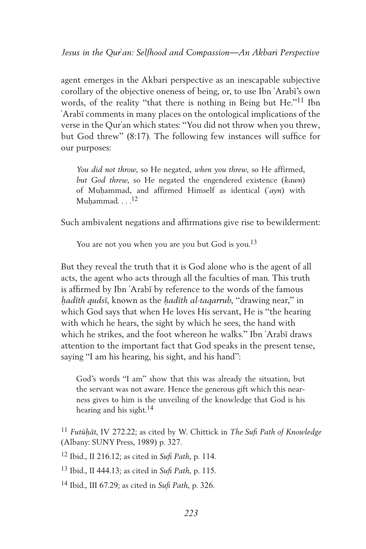agent emerges in the Akbari perspective as an inescapable subjective corollary of the objective oneness of being, or, to use Ibn ʿArabī's own words, of the reality "that there is nothing in Being but He."11 Ibn ʿArabī comments in many places on the ontological implications of the verse in the Qurʾan which states: "You did not throw when you threw, but God threw"  $(8.17)$ . The following few instances will suffice for our purposes:

*You did not throw*, so He negated, *when you threw*, so He affirmed, *but God threw*, so He negated the engendered existence (*kawn*) of Muḥammad, and affirmed Himself as identical (*ʿayn*) with Muhammad.  $12$ 

Such ambivalent negations and affirmations give rise to bewilderment:

You are not you when you are you but God is you.<sup>13</sup>

But they reveal the truth that it is God alone who is the agent of all acts, the agent who acts through all the faculties of man. This truth is affirmed by Ibn ʿArabī by reference to the words of the famous *ḥadīth qudsī*, known as the *ḥadīth al-taqarrub*, "drawing near," in which God says that when He loves His servant, He is "the hearing with which he hears, the sight by which he sees, the hand with which he strikes, and the foot whereon he walks." Ibn ʿArabī draws attention to the important fact that God speaks in the present tense, saying "I am his hearing, his sight, and his hand":

God's words "I am" show that this was already the situation, but the servant was not aware. Hence the generous gift which this nearness gives to him is the unveiling of the knowledge that God is his hearing and his sight.<sup>14</sup>

<sup>11</sup>*Futūḥāt*, IV 272.22; as cited by W. Chittick in *The Sufi Path of Knowledge* (Albany: SUNY Press, 1989) p. 327.

 12 Ibid., II 216.12; as cited in *Sufi Path*, p. 114.

 13 Ibid., II 444.13; as cited in *Sufi Path*, p. 115.

 14 Ibid., III 67.29; as cited in *Sufi Path*, p. 326.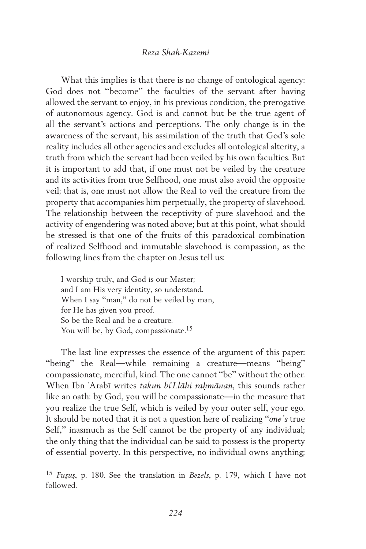What this implies is that there is no change of ontological agency: God does not "become" the faculties of the servant after having allowed the servant to enjoy, in his previous condition, the prerogative of autonomous agency. God is and cannot but be the true agent of all the servant's actions and perceptions. The only change is in the awareness of the servant, his assimilation of the truth that God's sole reality includes all other agencies and excludes all ontological alterity, a truth from which the servant had been veiled by his own faculties. But it is important to add that, if one must not be veiled by the creature and its activities from true Selfhood, one must also avoid the opposite veil; that is, one must not allow the Real to veil the creature from the property that accompanies him perpetually, the property of slavehood. The relationship between the receptivity of pure slavehood and the activity of engendering was noted above; but at this point, what should be stressed is that one of the fruits of this paradoxical combination of realized Selfhood and immutable slavehood is compassion, as the following lines from the chapter on Jesus tell us:

I worship truly, and God is our Master; and I am His very identity, so understand. When I say "man," do not be veiled by man, for He has given you proof. So be the Real and be a creature. You will be, by God, compassionate.<sup>15</sup>

The last line expresses the essence of the argument of this paper: "being" the Real—while remaining a creature—means "being" compassionate, merciful, kind. The one cannot "be" without the other. When Ibn ʿArabī writes *takun biʾLlāhi raḥmānan*, this sounds rather like an oath: by God, you will be compassionate—in the measure that you realize the true Self, which is veiled by your outer self, your ego. It should be noted that it is not a question here of realizing "*one's* true Self," inasmuch as the Self cannot be the property of any individual; the only thing that the individual can be said to possess is the property of essential poverty. In this perspective, no individual owns anything;

<sup>15</sup>*Fuṣūṣ*, p. 180. See the translation in *Bezels*, p. 179, which I have not followed.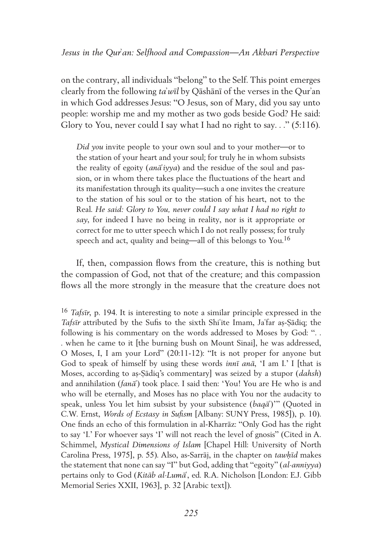on the contrary, all individuals "belong" to the Self. This point emerges clearly from the following *taʾwīl* by Qāshānī of the verses in the Qurʾan in which God addresses Jesus: "O Jesus, son of Mary, did you say unto people: worship me and my mother as two gods beside God? He said: Glory to You, never could I say what I had no right to say. . ." (5:116).

*Did you* invite people to your own soul and to your mother—or to the station of your heart and your soul; for truly he in whom subsists the reality of egoity (*anāʾiyya*) and the residue of the soul and passion, or in whom there takes place the fluctuations of the heart and its manifestation through its quality—such a one invites the creature to the station of his soul or to the station of his heart, not to the Real. *He said: Glory to You, never could I say what I had no right to say*, for indeed I have no being in reality, nor is it appropriate or correct for me to utter speech which I do not really possess; for truly speech and act, quality and being—all of this belongs to You.<sup>16</sup>

If, then, compassion flows from the creature, this is nothing but the compassion of God, not that of the creature; and this compassion flows all the more strongly in the measure that the creature does not

<sup>16</sup>*Tafsīr*, p. 194. It is interesting to note a similar principle expressed in the *Tafsīr* attributed by the Sufis to the sixth Shiʿite Imam, Jaʿfar aṣ-Ṣādiq; the following is his commentary on the words addressed to Moses by God: ". . . when he came to it [the burning bush on Mount Sinai], he was addressed, O Moses, I, I am your Lord" (20:11-12): "It is not proper for anyone but God to speak of himself by using these words *innī anā*, 'I am I.' I [that is Moses, according to aṣ-Ṣādiq's commentary] was seized by a stupor (*dahsh*) and annihilation (*fanāʾ*) took place. I said then: 'You! You are He who is and who will be eternally, and Moses has no place with You nor the audacity to speak, unless You let him subsist by your subsistence (*baqāʾ*)'" (Quoted in C.W. Ernst, *Words of Ecstasy in Sufism* [Albany: SUNY Press, 1985]), p. 10). One finds an echo of this formulation in al-Kharrāz: "Only God has the right to say 'I.' For whoever says 'I' will not reach the level of gnosis" (Cited in A. Schimmel, *Mystical Dimensions of Islam* [Chapel Hill: University of North Carolina Press, 1975], p. 55). Also, as-Sarrāj, in the chapter on *tawḥīd* makes the statement that none can say "I" but God, adding that "egoity" (*al-anniyya*) pertains only to God (*Kitāb al-Lumāʿ*, ed. R.A. Nicholson [London: E.J. Gibb Memorial Series XXII, 1963], p. 32 [Arabic text]).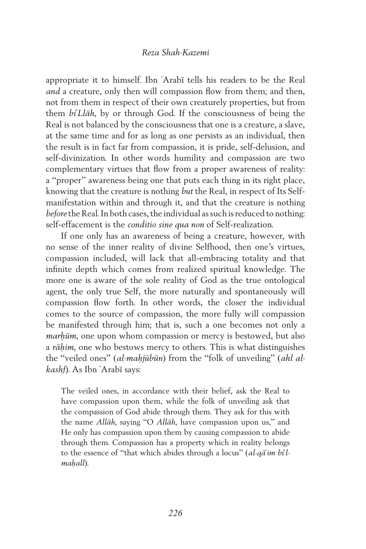appropriate it to himself. Ibn ʿArabī tells his readers to be the Real *and* a creature, only then will compassion flow from them; and then, not from them in respect of their own creaturely properties, but from them *biʾLlāh*, by or through God. If the consciousness of being the Real is not balanced by the consciousness that one is a creature, a slave, at the same time and for as long as one persists as an individual, then the result is in fact far from compassion, it is pride, self-delusion, and self-divinization. In other words humility and compassion are two complementary virtues that flow from a proper awareness of reality: a "proper" awareness being one that puts each thing in its right place, knowing that the creature is nothing *but* the Real, in respect of Its Selfmanifestation within and through it, and that the creature is nothing *before* the Real. In both cases, the individual as such is reduced to nothing: self-effacement is the *conditio sine qua non* of Self-realization.

If one only has an awareness of being a creature, however, with no sense of the inner reality of divine Selfhood, then one's virtues, compassion included, will lack that all-embracing totality and that infinite depth which comes from realized spiritual knowledge. The more one is aware of the sole reality of God as the true ontological agent, the only true Self, the more naturally and spontaneously will compassion flow forth. In other words, the closer the individual comes to the source of compassion, the more fully will compassion be manifested through him; that is, such a one becomes not only a *marḥūm*, one upon whom compassion or mercy is bestowed, but also a *rāḥim*, one who bestows mercy to others. This is what distinguishes the "veiled ones" (*al-maḥjūbūn*) from the "folk of unveiling" (*ahl alkashf*). As Ibn ʿArabī says:

The veiled ones, in accordance with their belief, ask the Real to have compassion upon them, while the folk of unveiling ask that the compassion of God abide through them. They ask for this with the name *Allāh*, saying "O *Allāh*, have compassion upon us," and He only has compassion upon them by causing compassion to abide through them. Compassion has a property which in reality belongs to the essence of "that which abides through a locus" (*al-qāʾim biʾl* $m$ *ahall*).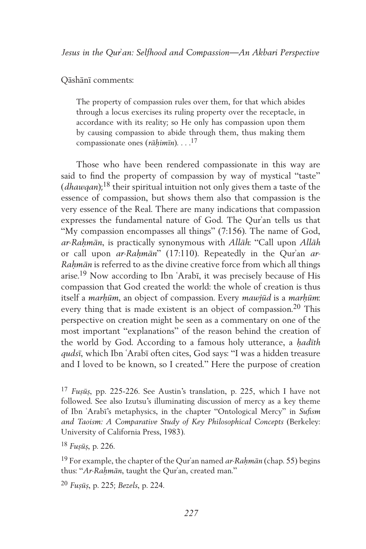### Qāshānī comments:

The property of compassion rules over them, for that which abides through a locus exercises its ruling property over the receptacle, in accordance with its reality; so He only has compassion upon them by causing compassion to abide through them, thus making them compassionate ones (*rāḥimīn*). . . .<sup>17</sup>

Those who have been rendered compassionate in this way are said to find the property of compassion by way of mystical "taste" (*dhawqan*);18 their spiritual intuition not only gives them a taste of the essence of compassion, but shows them also that compassion is the very essence of the Real. There are many indications that compassion expresses the fundamental nature of God. The Qurʾan tells us that "My compassion encompasses all things" (7:156). The name of God, *ar-Raḥmān*, is practically synonymous with *Allāh*: "Call upon *Allāh*  or call upon *ar-Raḥmān*" (17:110). Repeatedly in the Qurʾan *ar-Raḥmān* is referred to as the divine creative force from which all things arise.19 Now according to Ibn ʿArabī, it was precisely because of His compassion that God created the world: the whole of creation is thus itself a *marḥūm*, an object of compassion. Every *mawjūd* is a *marḥūm*: every thing that is made existent is an object of compassion.<sup>20</sup> This perspective on creation might be seen as a commentary on one of the most important "explanations" of the reason behind the creation of the world by God. According to a famous holy utterance, a *ḥadīth qudsī*, which Ibn ʿArabī often cites, God says: "I was a hidden treasure and I loved to be known, so I created." Here the purpose of creation

<sup>17</sup>*Fuṣūṣ*, pp. 225-226. See Austin's translation, p. 225, which I have not followed. See also Izutsu's illuminating discussion of mercy as a key theme of Ibn ʿArabī's metaphysics, in the chapter "Ontological Mercy" in *Sufism and Taoism: A Comparative Study of Key Philosophical Concepts* (Berkeley: University of California Press, 1983).

<sup>18</sup>*Fuṣūṣ*, p. 226.

19 For example, the chapter of the Qurʾan named *ar-Raḥmān* (chap. 55) begins thus: "*Ar-Raḥmān*, taught the Qurʾan, created man."

<sup>20</sup>*Fuṣūṣ*, p. 225; *Bezels*, p. 224.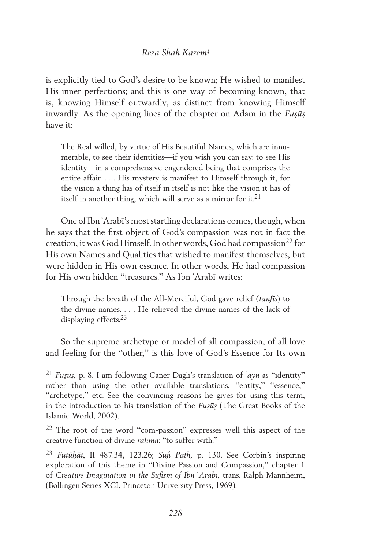is explicitly tied to God's desire to be known; He wished to manifest His inner perfections; and this is one way of becoming known, that is, knowing Himself outwardly, as distinct from knowing Himself inwardly. As the opening lines of the chapter on Adam in the *Fuṣūṣ* have it:

The Real willed, by virtue of His Beautiful Names, which are innumerable, to see their identities—if you wish you can say: to see His identity—in a comprehensive engendered being that comprises the entire affair. . . . His mystery is manifest to Himself through it, for the vision a thing has of itself in itself is not like the vision it has of itself in another thing, which will serve as a mirror for it.<sup>21</sup>

One of Ibn ʿArabī's most startling declarations comes, though, when he says that the first object of God's compassion was not in fact the creation, it was God Himself. In other words, God had compassion<sup>22</sup> for His own Names and Qualities that wished to manifest themselves, but were hidden in His own essence. In other words, He had compassion for His own hidden "treasures." As Ibn ʿArabī writes:

Through the breath of the All-Merciful, God gave relief (*tanfīs*) to the divine names. . . . He relieved the divine names of the lack of displaying effects.<sup>23</sup>

So the supreme archetype or model of all compassion, of all love and feeling for the "other," is this love of God's Essence for Its own

<sup>21</sup>*Fuṣūṣ*, p. 8. I am following Caner Dagli's translation of *ʿayn* as "identity" rather than using the other available translations, "entity," "essence," "archetype," etc. See the convincing reasons he gives for using this term, in the introduction to his translation of the *Fuṣūṣ* (The Great Books of the Islamic World, 2002)*.* 

22 The root of the word "com-passion" expresses well this aspect of the creative function of divine *raḥma*: "to suffer with."

 <sup>23</sup>*Futūḥāt*, II 487.34, 123.26; *Sufi Path,* p. 130. See Corbin's inspiring exploration of this theme in "Divine Passion and Compassion," chapter 1 of *Creative Imagination in the Sufism of Ibn ʿArabī*, trans. Ralph Mannheim, (Bollingen Series XCI, Princeton University Press, 1969).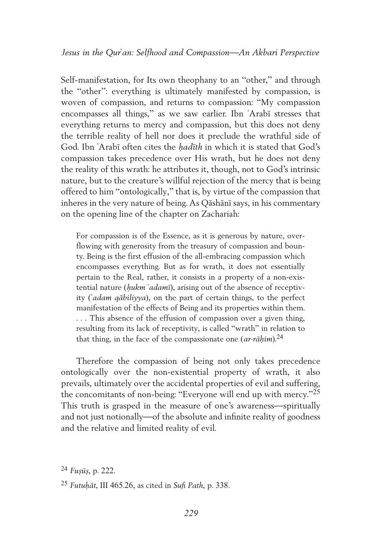Self-manifestation, for Its own theophany to an "other," and through the "other": everything is ultimately manifested by compassion, is woven of compassion, and returns to compassion: "My compassion encompasses all things," as we saw earlier. Ibn ʿArabī stresses that everything returns to mercy and compassion, but this does not deny the terrible reality of hell nor does it preclude the wrathful side of God. Ibn ʿArabī often cites the *ḥadīth* in which it is stated that God's compassion takes precedence over His wrath, but he does not deny the reality of this wrath: he attributes it, though, not to God's intrinsic nature, but to the creature's willful rejection of the mercy that is being offered to him "ontologically," that is, by virtue of the compassion that inheres in the very nature of being. As Qāshānī says, in his commentary on the opening line of the chapter on Zachariah:

For compassion is of the Essence, as it is generous by nature, overflowing with generosity from the treasury of compassion and bounty. Being is the first effusion of the all-embracing compassion which encompasses everything. But as for wrath, it does not essentially pertain to the Real, rather, it consists in a property of a non-existential nature (*ḥukm ʿadamī*), arising out of the absence of receptivity (*ʿadam qābiliyya*), on the part of certain things, to the perfect manifestation of the effects of Being and its properties within them. . . . This absence of the effusion of compassion over a given thing, resulting from its lack of receptivity, is called "wrath" in relation to that thing, in the face of the compassionate one (*ar-rāḥim*).<sup>24</sup>

Therefore the compassion of being not only takes precedence ontologically over the non-existential property of wrath, it also prevails, ultimately over the accidental properties of evil and suffering, the concomitants of non-being: "Everyone will end up with mercy."<sup>25</sup> This truth is grasped in the measure of one's awareness—spiritually and not just notionally—of the absolute and infinite reality of goodness and the relative and limited reality of evil.

<sup>24</sup>*Fuṣūṣ*, p. 222.

 <sup>25</sup>*Futuḥāt*, III 465.26, as cited in *Sufi Path*, p. 338.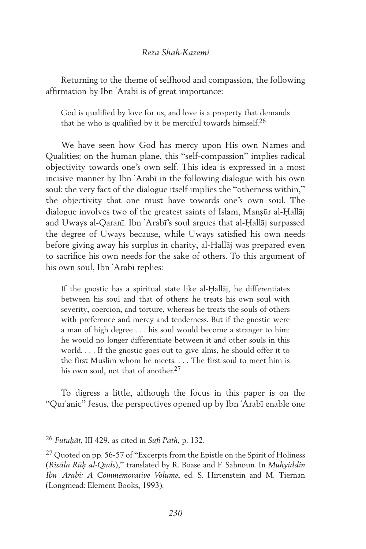Returning to the theme of selfhood and compassion, the following affirmation by Ibn ʿArabī is of great importance:

God is qualified by love for us, and love is a property that demands that he who is qualified by it be merciful towards himself.26

We have seen how God has mercy upon His own Names and Qualities; on the human plane, this "self-compassion" implies radical objectivity towards one's own self. This idea is expressed in a most incisive manner by Ibn ʿArabī in the following dialogue with his own soul: the very fact of the dialogue itself implies the "otherness within," the objectivity that one must have towards one's own soul. The dialogue involves two of the greatest saints of Islam, Manṣūr al-Ḥallāj and Uways al-Qaranī. Ibn ʿArabī's soul argues that al-Ḥallāj surpassed the degree of Uways because, while Uways satisfied his own needs before giving away his surplus in charity, al-Ḥallāj was prepared even to sacrifice his own needs for the sake of others. To this argument of his own soul, Ibn ʿArabī replies:

If the gnostic has a spiritual state like al-Ḥallāj, he differentiates between his soul and that of others: he treats his own soul with severity, coercion, and torture, whereas he treats the souls of others with preference and mercy and tenderness. But if the gnostic were a man of high degree . . . his soul would become a stranger to him: he would no longer differentiate between it and other souls in this world. . . . If the gnostic goes out to give alms, he should offer it to the first Muslim whom he meets. . . . The first soul to meet him is his own soul, not that of another.<sup>27</sup>

To digress a little, although the focus in this paper is on the "Qurʾanic" Jesus, the perspectives opened up by Ibn ʿArabī enable one

 <sup>26</sup>*Futuḥāt*, III 429, as cited in *Sufi Path*, p. 132.

<sup>&</sup>lt;sup>27</sup> Quoted on pp. 56-57 of "Excerpts from the Epistle on the Spirit of Holiness" (*Risāla Rūḥ al-Quds*)," translated by R. Boase and F. Sahnoun. In *Muhyiddin Ibn ʿArabi: A Commemorative Volume*, ed. S. Hirtenstein and M. Tiernan (Longmead: Element Books, 1993).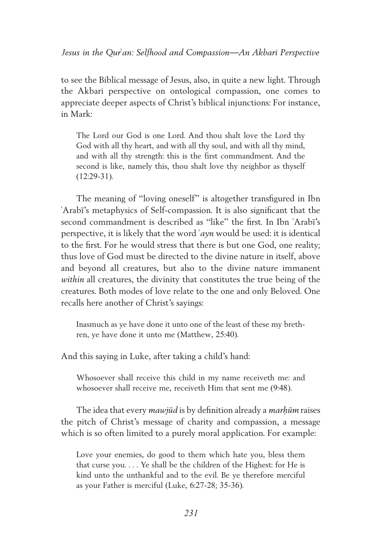*Jesus in the Qurʾan: Selfhood and Compassion—An Akbari Perspective* 

to see the Biblical message of Jesus, also, in quite a new light. Through the Akbari perspective on ontological compassion, one comes to appreciate deeper aspects of Christ's biblical injunctions: For instance, in Mark:

The Lord our God is one Lord. And thou shalt love the Lord thy God with all thy heart, and with all thy soul, and with all thy mind, and with all thy strength: this is the first commandment. And the second is like, namely this, thou shalt love thy neighbor as thyself (12:29-31).

The meaning of "loving oneself" is altogether transfigured in Ibn ʿArabī's metaphysics of Self-compassion. It is also significant that the second commandment is described as "like" the first. In Ibn ʿArabī's perspective, it is likely that the word *ʿayn* would be used: it is identical to the first. For he would stress that there is but one God, one reality; thus love of God must be directed to the divine nature in itself, above and beyond all creatures, but also to the divine nature immanent *within* all creatures, the divinity that constitutes the true being of the creatures. Both modes of love relate to the one and only Beloved. One recalls here another of Christ's sayings:

Inasmuch as ye have done it unto one of the least of these my brethren, ye have done it unto me (Matthew, 25:40).

And this saying in Luke, after taking a child's hand:

Whosoever shall receive this child in my name receiveth me: and whosoever shall receive me, receiveth Him that sent me (9:48).

The idea that every *mawjūd* is by definition already a *marḥūm* raises the pitch of Christ's message of charity and compassion, a message which is so often limited to a purely moral application. For example:

Love your enemies, do good to them which hate you, bless them that curse you. . . . Ye shall be the children of the Highest: for He is kind unto the unthankful and to the evil. Be ye therefore merciful as your Father is merciful (Luke, 6:27-28; 35-36).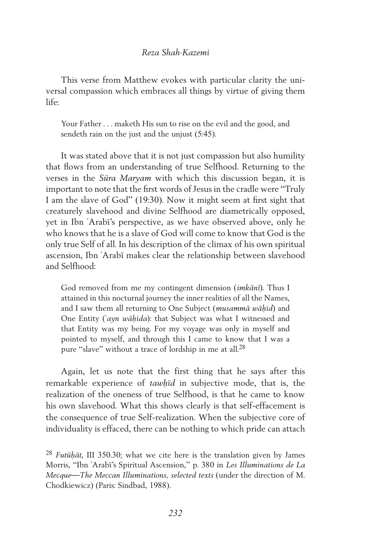This verse from Matthew evokes with particular clarity the universal compassion which embraces all things by virtue of giving them life:

Your Father . . . maketh His sun to rise on the evil and the good, and sendeth rain on the just and the unjust (5:45).

It was stated above that it is not just compassion but also humility that flows from an understanding of true Selfhood. Returning to the verses in the *Sūra Maryam* with which this discussion began, it is important to note that the first words of Jesus in the cradle were "Truly I am the slave of God" (19:30). Now it might seem at first sight that creaturely slavehood and divine Selfhood are diametrically opposed, yet in Ibn ʿArabī's perspective, as we have observed above, only he who knows that he is a slave of God will come to know that God is the only true Self of all. In his description of the climax of his own spiritual ascension, Ibn ʿArabī makes clear the relationship between slavehood and Selfhood:

God removed from me my contingent dimension (*imkānī*). Thus I attained in this nocturnal journey the inner realities of all the Names, and I saw them all returning to One Subject (*musammā wāḥid*) and One Entity (*ʿayn wāḥida*): that Subject was what I witnessed and that Entity was my being. For my voyage was only in myself and pointed to myself, and through this I came to know that I was a pure "slave" without a trace of lordship in me at all.<sup>28</sup>

Again, let us note that the first thing that he says after this remarkable experience of *tawḥīd* in subjective mode, that is, the realization of the oneness of true Selfhood, is that he came to know his own slavehood. What this shows clearly is that self-effacement is the consequence of true Self-realization. When the subjective core of individuality is effaced, there can be nothing to which pride can attach

<sup>28</sup>*Futūḥāt*, III 350.30; what we cite here is the translation given by James Morris, "Ibn ʿArabī's Spiritual Ascension," p. 380 in *Les Illuminations de La Mecque—The Meccan Illuminations, selected texts* (under the direction of M. Chodkiewicz) (Paris: Sindbad, 1988).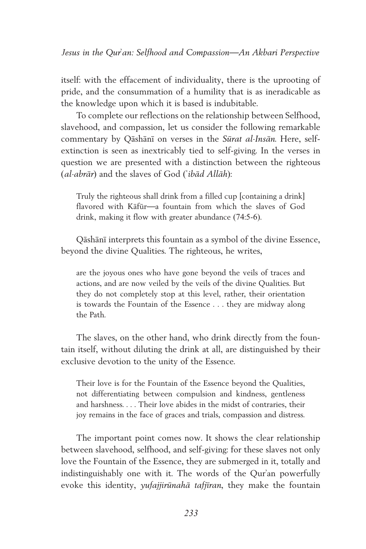itself: with the effacement of individuality, there is the uprooting of pride, and the consummation of a humility that is as ineradicable as the knowledge upon which it is based is indubitable.

To complete our reflections on the relationship between Selfhood, slavehood, and compassion, let us consider the following remarkable commentary by Qāshānī on verses in the *Sūrat al-Insān*. Here, selfextinction is seen as inextricably tied to self-giving. In the verses in question we are presented with a distinction between the righteous (*al-abrār*) and the slaves of God (*ʿibād Allāh*):

Truly the righteous shall drink from a filled cup [containing a drink] flavored with Kāfūr—a fountain from which the slaves of God drink, making it flow with greater abundance (74:5-6).

Qāshānī interprets this fountain as a symbol of the divine Essence, beyond the divine Qualities. The righteous, he writes,

are the joyous ones who have gone beyond the veils of traces and actions, and are now veiled by the veils of the divine Qualities. But they do not completely stop at this level, rather, their orientation is towards the Fountain of the Essence . . . they are midway along the Path.

The slaves, on the other hand, who drink directly from the fountain itself, without diluting the drink at all, are distinguished by their exclusive devotion to the unity of the Essence.

Their love is for the Fountain of the Essence beyond the Qualities, not differentiating between compulsion and kindness, gentleness and harshness. . . . Their love abides in the midst of contraries, their joy remains in the face of graces and trials, compassion and distress.

The important point comes now. It shows the clear relationship between slavehood, selfhood, and self-giving: for these slaves not only love the Fountain of the Essence, they are submerged in it, totally and indistinguishably one with it. The words of the Qurʾan powerfully evoke this identity, *yufajjirūnahā tafjīran*, they make the fountain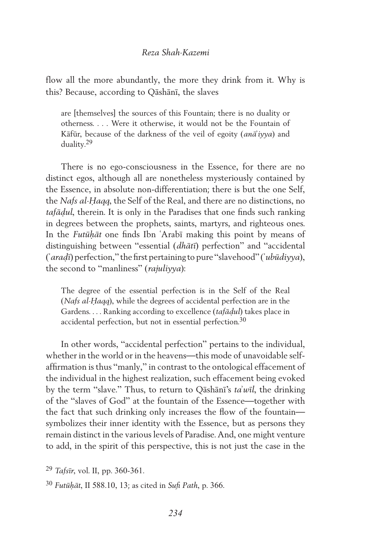flow all the more abundantly, the more they drink from it. Why is this? Because, according to Qāshānī, the slaves

are [themselves] the sources of this Fountain; there is no duality or otherness. . . . Were it otherwise, it would not be the Fountain of Kāfūr, because of the darkness of the veil of egoity (*anāʾiyya*) and duality.<sup>29</sup>

There is no ego-consciousness in the Essence, for there are no distinct egos, although all are nonetheless mysteriously contained by the Essence, in absolute non-differentiation; there is but the one Self, the *Nafs al-Ḥaqq*, the Self of the Real, and there are no distinctions, no *tafāḍul*, therein. It is only in the Paradises that one finds such ranking in degrees between the prophets, saints, martyrs, and righteous ones. In the *Futūhāt* one finds Ibn `Arabī making this point by means of distinguishing between "essential (*dhātī*) perfection" and "accidental (*ʿaraḍī*) perfection," the first pertaining to pure "slavehood" (*ʿubūdiyya*), the second to "manliness" (*rajuliyya*):

The degree of the essential perfection is in the Self of the Real (*Nafs al-Ḥaqq*), while the degrees of accidental perfection are in the Gardens. . . . Ranking according to excellence (*tafāḍul*) takes place in accidental perfection, but not in essential perfection.<sup>30</sup>

In other words, "accidental perfection" pertains to the individual, whether in the world or in the heavens—this mode of unavoidable selfaffirmation is thus "manly," in contrast to the ontological effacement of the individual in the highest realization, such effacement being evoked by the term "slave." Thus, to return to Qāshānī's *taʾwīl*, the drinking of the "slaves of God" at the fountain of the Essence—together with the fact that such drinking only increases the flow of the fountain symbolizes their inner identity with the Essence, but as persons they remain distinct in the various levels of Paradise. And, one might venture to add, in the spirit of this perspective, this is not just the case in the

<sup>29</sup>*Tafsīr*, vol. II, pp. 360-361.

 <sup>30</sup>*Futūḥāt*, II 588.10, 13; as cited in *Sufi Path*, p. 366.